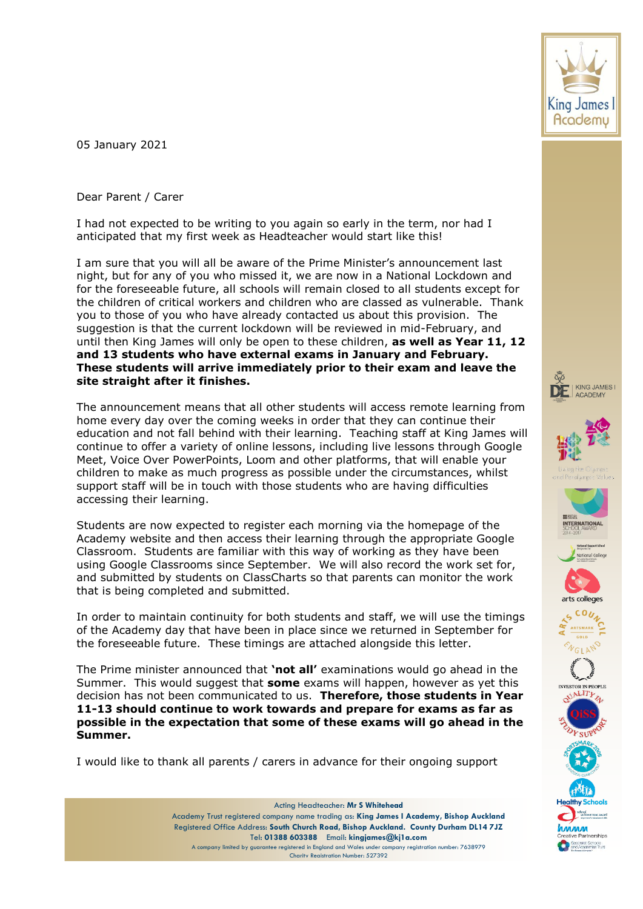05 January 2021

Dear Parent / Carer

I had not expected to be writing to you again so early in the term, nor had I anticipated that my first week as Headteacher would start like this!

I am sure that you will all be aware of the Prime Minister's announcement last night, but for any of you who missed it, we are now in a National Lockdown and for the foreseeable future, all schools will remain closed to all students except for the children of critical workers and children who are classed as vulnerable. Thank you to those of you who have already contacted us about this provision. The suggestion is that the current lockdown will be reviewed in mid-February, and until then King James will only be open to these children, **as well as Year 11, 12 and 13 students who have external exams in January and February. These students will arrive immediately prior to their exam and leave the site straight after it finishes.**

The announcement means that all other students will access remote learning from home every day over the coming weeks in order that they can continue their education and not fall behind with their learning. Teaching staff at King James will continue to offer a variety of online lessons, including live lessons through Google Meet, Voice Over PowerPoints, Loom and other platforms, that will enable your children to make as much progress as possible under the circumstances, whilst support staff will be in touch with those students who are having difficulties accessing their learning.

Students are now expected to register each morning via the homepage of the Academy website and then access their learning through the appropriate Google Classroom. Students are familiar with this way of working as they have been using Google Classrooms since September. We will also record the work set for, and submitted by students on ClassCharts so that parents can monitor the work that is being completed and submitted.

In order to maintain continuity for both students and staff, we will use the timings of the Academy day that have been in place since we returned in September for the foreseeable future. These timings are attached alongside this letter.

The Prime minister announced that **'not all'** examinations would go ahead in the Summer. This would suggest that **some** exams will happen, however as yet this decision has not been communicated to us. **Therefore, those students in Year 11-13 should continue to work towards and prepare for exams as far as possible in the expectation that some of these exams will go ahead in the Summer.** 

I would like to thank all parents / carers in advance for their ongoing support



















pecialist Schools<br>nd Academies Trus